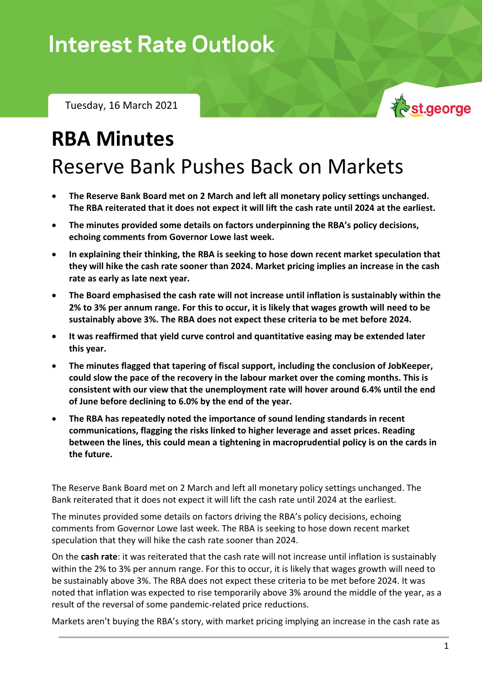# **Interest Rate Outlook**

Tuesday, 16 March 2021

# **RBA Minutes**

## Reserve Bank Pushes Back on Markets

- **The Reserve Bank Board met on 2 March and left all monetary policy settings unchanged. The RBA reiterated that it does not expect it will lift the cash rate until 2024 at the earliest.**
- **The minutes provided some details on factors underpinning the RBA's policy decisions, echoing comments from Governor Lowe last week.**
- **In explaining their thinking, the RBA is seeking to hose down recent market speculation that they will hike the cash rate sooner than 2024. Market pricing implies an increase in the cash rate as early as late next year.**
- **The Board emphasised the cash rate will not increase until inflation is sustainably within the 2% to 3% per annum range. For this to occur, it is likely that wages growth will need to be sustainably above 3%. The RBA does not expect these criteria to be met before 2024.**
- **It was reaffirmed that yield curve control and quantitative easing may be extended later this year.**
- **The minutes flagged that tapering of fiscal support, including the conclusion of JobKeeper, could slow the pace of the recovery in the labour market over the coming months. This is consistent with our view that the unemployment rate will hover around 6.4% until the end of June before declining to 6.0% by the end of the year.**
- **The RBA has repeatedly noted the importance of sound lending standards in recent communications, flagging the risks linked to higher leverage and asset prices. Reading between the lines, this could mean a tightening in macroprudential policy is on the cards in the future.**

The Reserve Bank Board met on 2 March and left all monetary policy settings unchanged. The Bank reiterated that it does not expect it will lift the cash rate until 2024 at the earliest.

The minutes provided some details on factors driving the RBA's policy decisions, echoing comments from Governor Lowe last week. The RBA is seeking to hose down recent market speculation that they will hike the cash rate sooner than 2024.

On the **cash rate**: it was reiterated that the cash rate will not increase until inflation is sustainably within the 2% to 3% per annum range. For this to occur, it is likely that wages growth will need to be sustainably above 3%. The RBA does not expect these criteria to be met before 2024. It was noted that inflation was expected to rise temporarily above 3% around the middle of the year, as a result of the reversal of some pandemic-related price reductions.

Markets aren't buying the RBA's story, with market pricing implying an increase in the cash rate as

st.george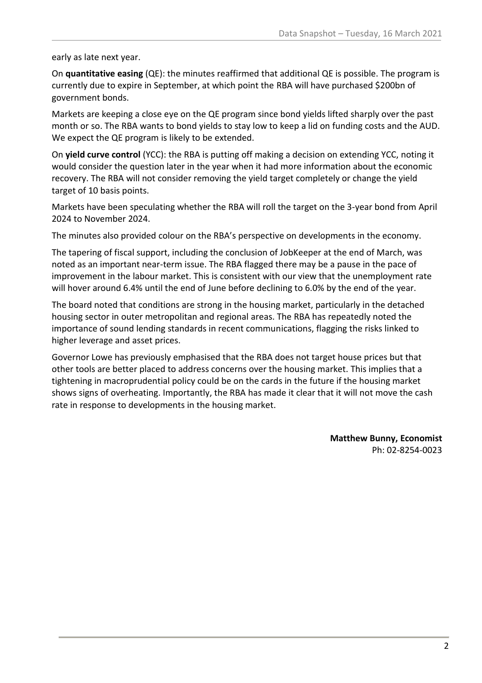early as late next year.

On **quantitative easing** (QE): the minutes reaffirmed that additional QE is possible. The program is currently due to expire in September, at which point the RBA will have purchased \$200bn of government bonds.

Markets are keeping a close eye on the QE program since bond yields lifted sharply over the past month or so. The RBA wants to bond yields to stay low to keep a lid on funding costs and the AUD. We expect the QE program is likely to be extended.

On **yield curve control** (YCC): the RBA is putting off making a decision on extending YCC, noting it would consider the question later in the year when it had more information about the economic recovery. The RBA will not consider removing the yield target completely or change the yield target of 10 basis points.

Markets have been speculating whether the RBA will roll the target on the 3-year bond from April 2024 to November 2024.

The minutes also provided colour on the RBA's perspective on developments in the economy.

The tapering of fiscal support, including the conclusion of JobKeeper at the end of March, was noted as an important near-term issue. The RBA flagged there may be a pause in the pace of improvement in the labour market. This is consistent with our view that the unemployment rate will hover around 6.4% until the end of June before declining to 6.0% by the end of the year.

The board noted that conditions are strong in the housing market, particularly in the detached housing sector in outer metropolitan and regional areas. The RBA has repeatedly noted the importance of sound lending standards in recent communications, flagging the risks linked to higher leverage and asset prices.

Governor Lowe has previously emphasised that the RBA does not target house prices but that other tools are better placed to address concerns over the housing market. This implies that a tightening in macroprudential policy could be on the cards in the future if the housing market shows signs of overheating. Importantly, the RBA has made it clear that it will not move the cash rate in response to developments in the housing market.

> **Matthew Bunny, Economist** Ph: 02-8254-0023